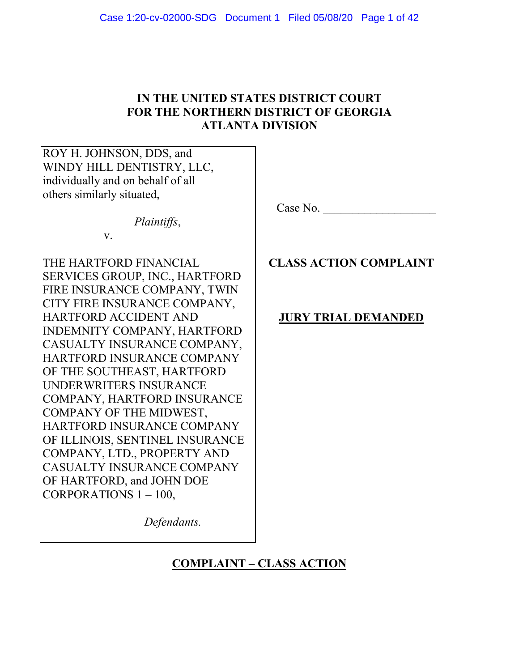# **IN THE UNITED STATES DISTRICT COURT FOR THE NORTHERN DISTRICT OF GEORGIA ATLANTA DIVISION**

ROY H. JOHNSON, DDS, and WINDY HILL DENTISTRY, LLC, individually and on behalf of all others similarly situated,

*Plaintiffs*,

v.

THE HARTFORD FINANCIAL SERVICES GROUP, INC., HARTFORD FIRE INSURANCE COMPANY, TWIN CITY FIRE INSURANCE COMPANY, HARTFORD ACCIDENT AND INDEMNITY COMPANY, HARTFORD CASUALTY INSURANCE COMPANY, HARTFORD INSURANCE COMPANY OF THE SOUTHEAST, HARTFORD UNDERWRITERS INSURANCE COMPANY, HARTFORD INSURANCE COMPANY OF THE MIDWEST, HARTFORD INSURANCE COMPANY OF ILLINOIS, SENTINEL INSURANCE COMPANY, LTD., PROPERTY AND CASUALTY INSURANCE COMPANY OF HARTFORD, and JOHN DOE CORPORATIONS 1 – 100,

Case No.

# **CLASS ACTION COMPLAINT**

## **JURY TRIAL DEMANDED**

 *Defendants.*

# **COMPLAINT – CLASS ACTION**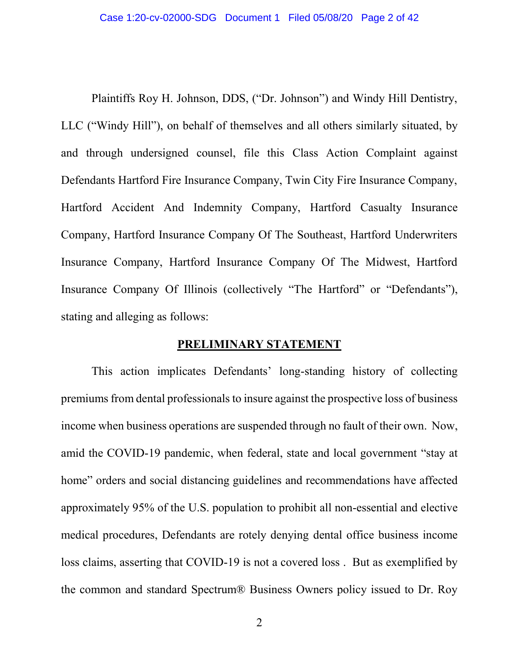Plaintiffs Roy H. Johnson, DDS, ("Dr. Johnson") and Windy Hill Dentistry, LLC ("Windy Hill"), on behalf of themselves and all others similarly situated, by and through undersigned counsel, file this Class Action Complaint against Defendants Hartford Fire Insurance Company, Twin City Fire Insurance Company, Hartford Accident And Indemnity Company, Hartford Casualty Insurance Company, Hartford Insurance Company Of The Southeast, Hartford Underwriters Insurance Company, Hartford Insurance Company Of The Midwest, Hartford Insurance Company Of Illinois (collectively "The Hartford" or "Defendants"), stating and alleging as follows:

#### **PRELIMINARY STATEMENT**

This action implicates Defendants' long-standing history of collecting premiums from dental professionals to insure against the prospective loss of business income when business operations are suspended through no fault of their own. Now, amid the COVID-19 pandemic, when federal, state and local government "stay at home" orders and social distancing guidelines and recommendations have affected approximately 95% of the U.S. population to prohibit all non-essential and elective medical procedures, Defendants are rotely denying dental office business income loss claims, asserting that COVID-19 is not a covered loss . But as exemplified by the common and standard Spectrum® Business Owners policy issued to Dr. Roy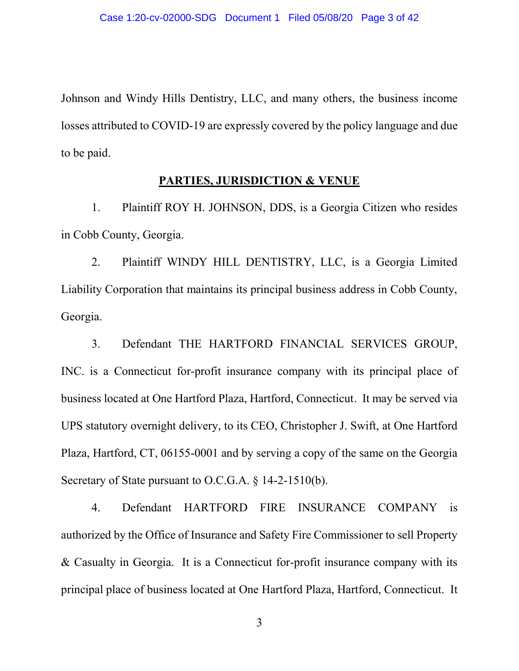Johnson and Windy Hills Dentistry, LLC, and many others, the business income losses attributed to COVID-19 are expressly covered by the policy language and due to be paid.

## **PARTIES, JURISDICTION & VENUE**

1. Plaintiff ROY H. JOHNSON, DDS, is a Georgia Citizen who resides in Cobb County, Georgia.

2. Plaintiff WINDY HILL DENTISTRY, LLC, is a Georgia Limited Liability Corporation that maintains its principal business address in Cobb County, Georgia.

3. Defendant THE HARTFORD FINANCIAL SERVICES GROUP, INC. is a Connecticut for-profit insurance company with its principal place of business located at One Hartford Plaza, Hartford, Connecticut. It may be served via UPS statutory overnight delivery, to its CEO, Christopher J. Swift, at One Hartford Plaza, Hartford, CT, 06155-0001 and by serving a copy of the same on the Georgia Secretary of State pursuant to O.C.G.A. § 14-2-1510(b).

4. Defendant HARTFORD FIRE INSURANCE COMPANY is authorized by the Office of Insurance and Safety Fire Commissioner to sell Property & Casualty in Georgia. It is a Connecticut for-profit insurance company with its principal place of business located at One Hartford Plaza, Hartford, Connecticut. It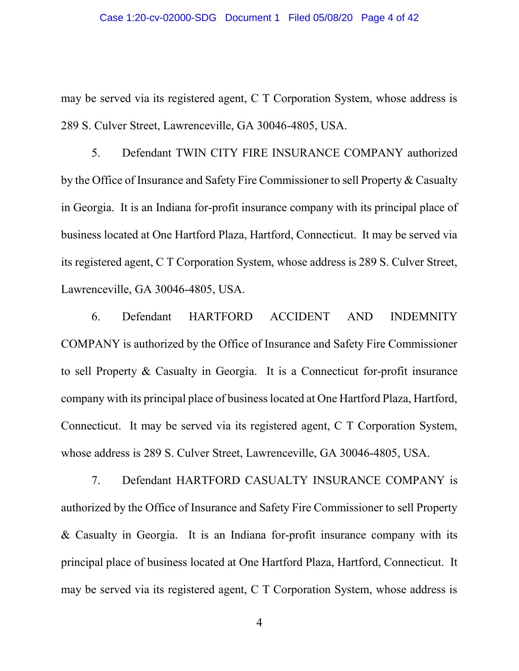may be served via its registered agent, C T Corporation System, whose address is 289 S. Culver Street, Lawrenceville, GA 30046-4805, USA.

5. Defendant TWIN CITY FIRE INSURANCE COMPANY authorized by the Office of Insurance and Safety Fire Commissioner to sell Property & Casualty in Georgia. It is an Indiana for-profit insurance company with its principal place of business located at One Hartford Plaza, Hartford, Connecticut. It may be served via its registered agent, C T Corporation System, whose address is 289 S. Culver Street, Lawrenceville, GA 30046-4805, USA.

6. Defendant HARTFORD ACCIDENT AND INDEMNITY COMPANY is authorized by the Office of Insurance and Safety Fire Commissioner to sell Property & Casualty in Georgia. It is a Connecticut for-profit insurance company with its principal place of business located at One Hartford Plaza, Hartford, Connecticut. It may be served via its registered agent, C T Corporation System, whose address is 289 S. Culver Street, Lawrenceville, GA 30046-4805, USA.

7. Defendant HARTFORD CASUALTY INSURANCE COMPANY is authorized by the Office of Insurance and Safety Fire Commissioner to sell Property & Casualty in Georgia. It is an Indiana for-profit insurance company with its principal place of business located at One Hartford Plaza, Hartford, Connecticut. It may be served via its registered agent, C T Corporation System, whose address is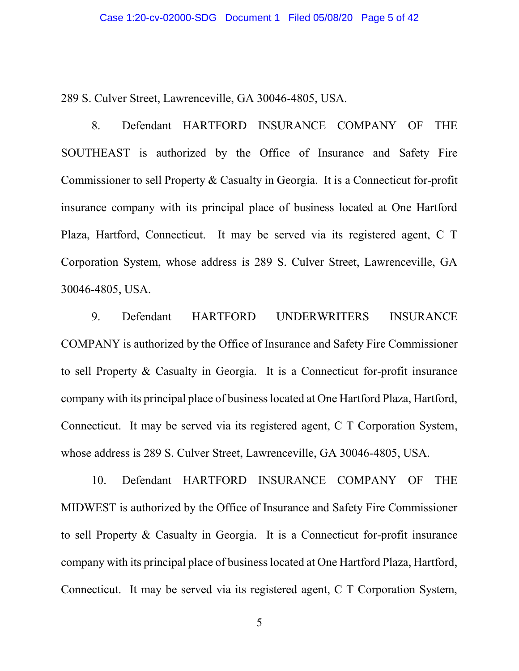289 S. Culver Street, Lawrenceville, GA 30046-4805, USA.

8. Defendant HARTFORD INSURANCE COMPANY OF THE SOUTHEAST is authorized by the Office of Insurance and Safety Fire Commissioner to sell Property & Casualty in Georgia. It is a Connecticut for-profit insurance company with its principal place of business located at One Hartford Plaza, Hartford, Connecticut. It may be served via its registered agent, C T Corporation System, whose address is 289 S. Culver Street, Lawrenceville, GA 30046-4805, USA.

9. Defendant HARTFORD UNDERWRITERS INSURANCE COMPANY is authorized by the Office of Insurance and Safety Fire Commissioner to sell Property & Casualty in Georgia. It is a Connecticut for-profit insurance company with its principal place of business located at One Hartford Plaza, Hartford, Connecticut. It may be served via its registered agent, C T Corporation System, whose address is 289 S. Culver Street, Lawrenceville, GA 30046-4805, USA.

10. Defendant HARTFORD INSURANCE COMPANY OF THE MIDWEST is authorized by the Office of Insurance and Safety Fire Commissioner to sell Property & Casualty in Georgia. It is a Connecticut for-profit insurance company with its principal place of business located at One Hartford Plaza, Hartford, Connecticut. It may be served via its registered agent, C T Corporation System,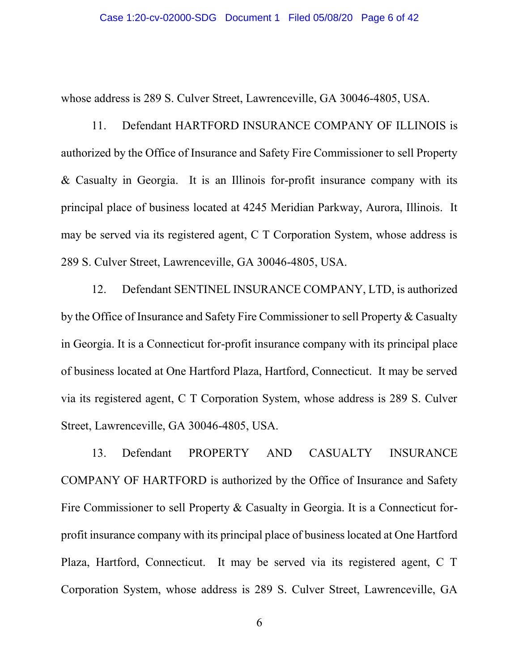whose address is 289 S. Culver Street, Lawrenceville, GA 30046-4805, USA.

11. Defendant HARTFORD INSURANCE COMPANY OF ILLINOIS is authorized by the Office of Insurance and Safety Fire Commissioner to sell Property & Casualty in Georgia. It is an Illinois for-profit insurance company with its principal place of business located at 4245 Meridian Parkway, Aurora, Illinois. It may be served via its registered agent, C T Corporation System, whose address is 289 S. Culver Street, Lawrenceville, GA 30046-4805, USA.

12. Defendant SENTINEL INSURANCE COMPANY, LTD, is authorized by the Office of Insurance and Safety Fire Commissioner to sell Property & Casualty in Georgia. It is a Connecticut for-profit insurance company with its principal place of business located at One Hartford Plaza, Hartford, Connecticut. It may be served via its registered agent, C T Corporation System, whose address is 289 S. Culver Street, Lawrenceville, GA 30046-4805, USA.

13. Defendant PROPERTY AND CASUALTY INSURANCE COMPANY OF HARTFORD is authorized by the Office of Insurance and Safety Fire Commissioner to sell Property & Casualty in Georgia. It is a Connecticut forprofit insurance company with its principal place of business located at One Hartford Plaza, Hartford, Connecticut. It may be served via its registered agent, C T Corporation System, whose address is 289 S. Culver Street, Lawrenceville, GA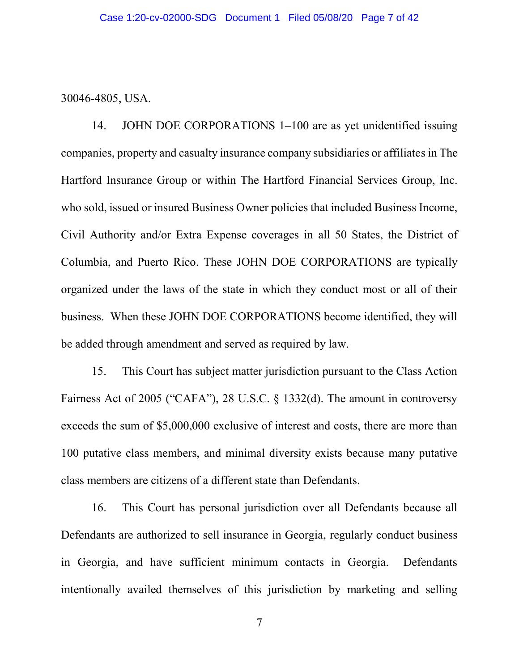30046-4805, USA.

14. JOHN DOE CORPORATIONS 1–100 are as yet unidentified issuing companies, property and casualty insurance company subsidiaries or affiliatesin The Hartford Insurance Group or within The Hartford Financial Services Group, Inc. who sold, issued or insured Business Owner policies that included Business Income, Civil Authority and/or Extra Expense coverages in all 50 States, the District of Columbia, and Puerto Rico. These JOHN DOE CORPORATIONS are typically organized under the laws of the state in which they conduct most or all of their business. When these JOHN DOE CORPORATIONS become identified, they will be added through amendment and served as required by law.

15. This Court has subject matter jurisdiction pursuant to the Class Action Fairness Act of 2005 ("CAFA"), 28 U.S.C. § 1332(d). The amount in controversy exceeds the sum of \$5,000,000 exclusive of interest and costs, there are more than 100 putative class members, and minimal diversity exists because many putative class members are citizens of a different state than Defendants.

16. This Court has personal jurisdiction over all Defendants because all Defendants are authorized to sell insurance in Georgia, regularly conduct business in Georgia, and have sufficient minimum contacts in Georgia. Defendants intentionally availed themselves of this jurisdiction by marketing and selling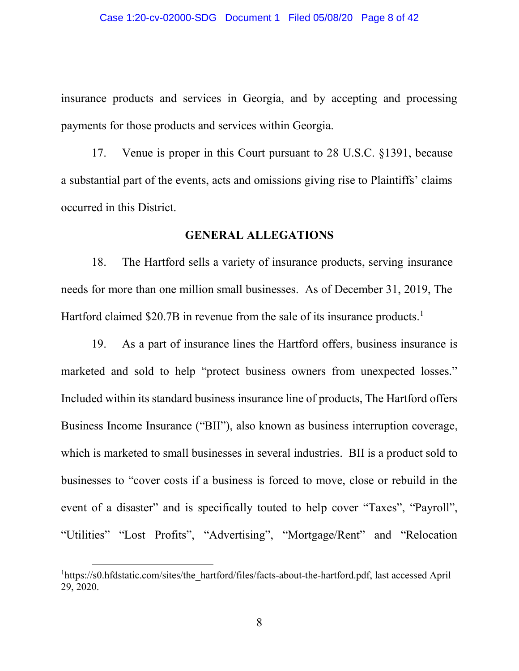insurance products and services in Georgia, and by accepting and processing payments for those products and services within Georgia.

17. Venue is proper in this Court pursuant to 28 U.S.C. §1391, because a substantial part of the events, acts and omissions giving rise to Plaintiffs' claims occurred in this District.

#### **GENERAL ALLEGATIONS**

18. The Hartford sells a variety of insurance products, serving insurance needs for more than one million small businesses. As of December 31, 2019, The Hartford claimed \$20.7B in revenue from the sale of its insurance products.<sup>1</sup>

19. As a part of insurance lines the Hartford offers, business insurance is marketed and sold to help "protect business owners from unexpected losses." Included within its standard business insurance line of products, The Hartford offers Business Income Insurance ("BII"), also known as business interruption coverage, which is marketed to small businesses in several industries. BII is a product sold to businesses to "cover costs if a business is forced to move, close or rebuild in the event of a disaster" and is specifically touted to help cover "Taxes", "Payroll", "Utilities" "Lost Profits", "Advertising", "Mortgage/Rent" and "Relocation

l

<sup>&</sup>lt;sup>1</sup>[https://s0.hfdstatic.com/sites/the\\_hartford/files/facts-about-the-hartford.pdf,](https://s0.hfdstatic.com/sites/the_hartford/files/facts-about-the-hartford.pdf) last accessed April 29, 2020.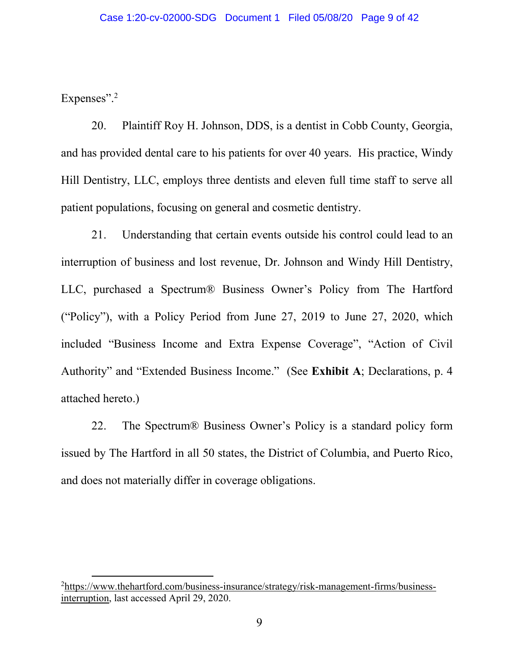Expenses".<sup>2</sup>

 $\overline{a}$ 

20. Plaintiff Roy H. Johnson, DDS, is a dentist in Cobb County, Georgia, and has provided dental care to his patients for over 40 years. His practice, Windy Hill Dentistry, LLC, employs three dentists and eleven full time staff to serve all patient populations, focusing on general and cosmetic dentistry.

21. Understanding that certain events outside his control could lead to an interruption of business and lost revenue, Dr. Johnson and Windy Hill Dentistry, LLC, purchased a Spectrum® Business Owner's Policy from The Hartford ("Policy"), with a Policy Period from June 27, 2019 to June 27, 2020, which included "Business Income and Extra Expense Coverage", "Action of Civil Authority" and "Extended Business Income." (See **Exhibit A**; Declarations, p. 4 attached hereto.)

22. The Spectrum® Business Owner's Policy is a standard policy form issued by The Hartford in all 50 states, the District of Columbia, and Puerto Rico, and does not materially differ in coverage obligations.

<sup>&</sup>lt;sup>2</sup>[https://www.thehartford.com/business-insurance/strategy/risk-management-firms/business](https://www.thehartford.com/business-insurance/strategy/risk-management-firms/business-interruption)[interruption,](https://www.thehartford.com/business-insurance/strategy/risk-management-firms/business-interruption) last accessed April 29, 2020.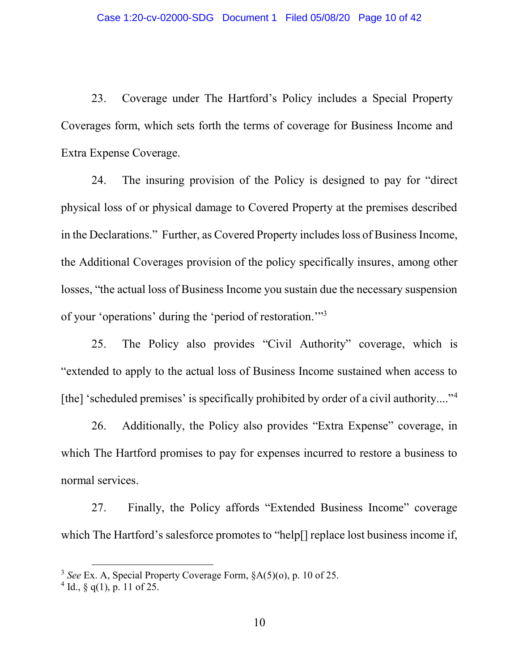23. Coverage under The Hartford's Policy includes a Special Property Coverages form, which sets forth the terms of coverage for Business Income and Extra Expense Coverage.

24. The insuring provision of the Policy is designed to pay for "direct physical loss of or physical damage to Covered Property at the premises described in the Declarations." Further, as Covered Property includes loss of Business Income, the Additional Coverages provision of the policy specifically insures, among other losses, "the actual loss of Business Income you sustain due the necessary suspension of your 'operations' during the 'period of restoration.'"<sup>3</sup>

25. The Policy also provides "Civil Authority" coverage, which is "extended to apply to the actual loss of Business Income sustained when access to [the] 'scheduled premises' is specifically prohibited by order of a civil authority...."<sup>4</sup>

26. Additionally, the Policy also provides "Extra Expense" coverage, in which The Hartford promises to pay for expenses incurred to restore a business to normal services.

27. Finally, the Policy affords "Extended Business Income" coverage which The Hartford's salesforce promotes to "help[] replace lost business income if,

l

<sup>3</sup> *See* Ex. A, Special Property Coverage Form, §A(5)(o), p. 10 of 25.

 $4$  Id., § q(1), p. 11 of 25.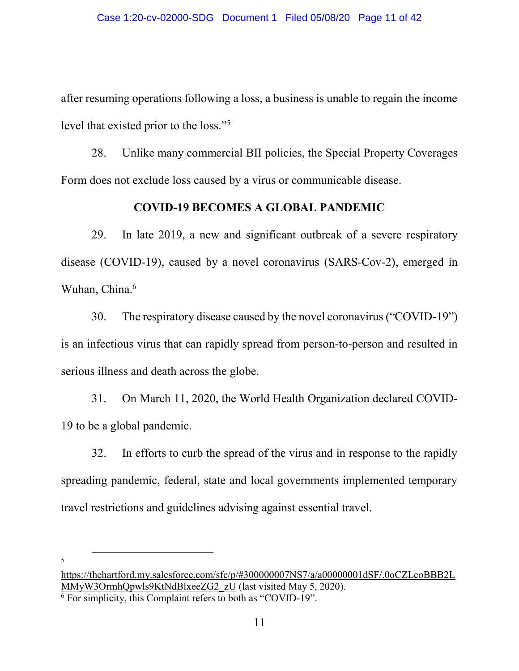after resuming operations following a loss, a business is unable to regain the income level that existed prior to the loss."<sup>5</sup>

28. Unlike many commercial BII policies, the Special Property Coverages Form does not exclude loss caused by a virus or communicable disease.

#### **COVID-19 BECOMES A GLOBAL PANDEMIC**

29. In late 2019, a new and significant outbreak of a severe respiratory disease (COVID-19), caused by a novel coronavirus (SARS-Cov-2), emerged in Wuhan, China.<sup>6</sup>

30. The respiratory disease caused by the novel coronavirus ("COVID-19") is an infectious virus that can rapidly spread from person-to-person and resulted in serious illness and death across the globe.

31. On March 11, 2020, the World Health Organization declared COVID-19 to be a global pandemic.

32. In efforts to curb the spread of the virus and in response to the rapidly spreading pandemic, federal, state and local governments implemented temporary travel restrictions and guidelines advising against essential travel.

5

 $\overline{\phantom{a}}$ 

[https://thehartford.my.salesforce.com/sfc/p/#300000007NS7/a/a00000001dSF/.0oCZLcoBBB2L](https://thehartford.my.salesforce.com/sfc/p/#300000007NS7/a/a00000001dSF/.0oCZLcoBBB2LMMyW3OrmhQpwls9KtNdBlxeeZG2_zU) [MMyW3OrmhQpwls9KtNdBlxeeZG2\\_zU](https://thehartford.my.salesforce.com/sfc/p/#300000007NS7/a/a00000001dSF/.0oCZLcoBBB2LMMyW3OrmhQpwls9KtNdBlxeeZG2_zU) (last visited May 5, 2020). <sup>6</sup> For simplicity, this Complaint refers to both as "COVID-19".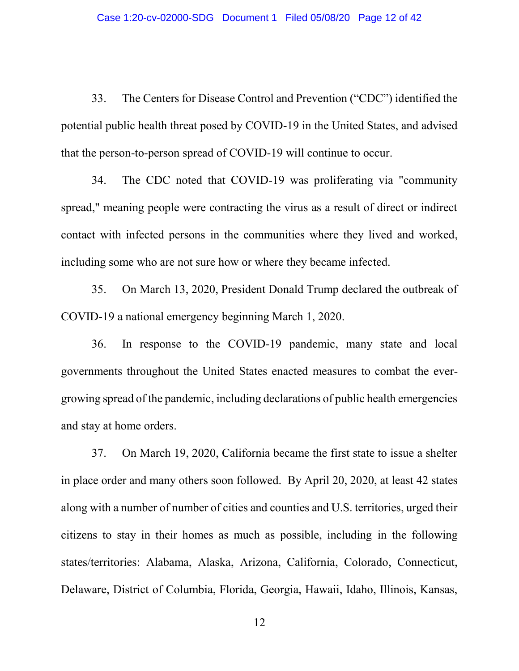33. The Centers for Disease Control and Prevention ("CDC") identified the potential public health threat posed by COVID-19 in the United States, and advised that the person-to-person spread of COVID-19 will continue to occur.

34. The CDC noted that COVID-19 was proliferating via "community spread," meaning people were contracting the virus as a result of direct or indirect contact with infected persons in the communities where they lived and worked, including some who are not sure how or where they became infected.

35. On March 13, 2020, President Donald Trump declared the outbreak of COVID-19 a national emergency beginning March 1, 2020.

36. In response to the COVID-19 pandemic, many state and local governments throughout the United States enacted measures to combat the evergrowing spread of the pandemic, including declarations of public health emergencies and stay at home orders.

37. On March 19, 2020, California became the first state to issue a shelter in place order and many others soon followed. By April 20, 2020, at least 42 states along with a number of number of cities and counties and U.S. territories, urged their citizens to stay in their homes as much as possible, including in the following states/territories: Alabama, Alaska, Arizona, California, Colorado, Connecticut, Delaware, District of Columbia, Florida, Georgia, Hawaii, Idaho, Illinois, Kansas,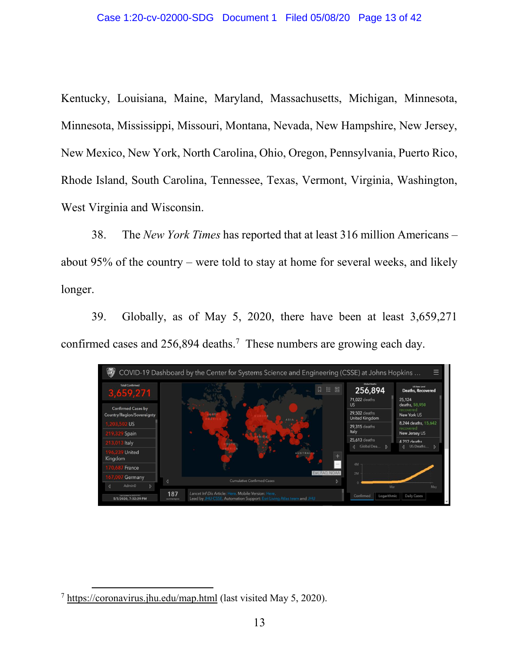Kentucky, Louisiana, Maine, Maryland, Massachusetts, Michigan, Minnesota, Minnesota, Mississippi, Missouri, Montana, Nevada, New Hampshire, New Jersey, New Mexico, New York, North Carolina, Ohio, Oregon, Pennsylvania, Puerto Rico, Rhode Island, South Carolina, Tennessee, Texas, Vermont, Virginia, Washington, West Virginia and Wisconsin.

38. The *New York Times* has reported that at least 316 million Americans – about 95% of the country – were told to stay at home for several weeks, and likely longer.

39. Globally, as of May 5, 2020, there have been at least 3,659,271 confirmed cases and  $256,894$  deaths.<sup>7</sup> These numbers are growing each day.



 $\overline{\phantom{a}}$ 

<sup>7</sup> <https://coronavirus.jhu.edu/map.html> (last visited May 5, 2020).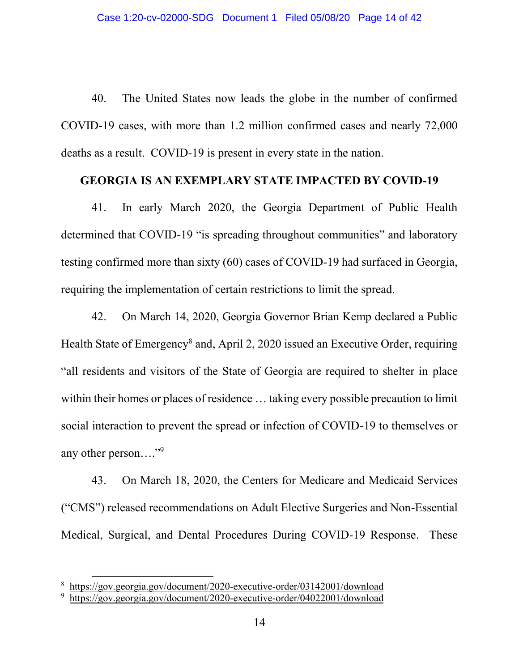40. The United States now leads the globe in the number of confirmed COVID-19 cases, with more than 1.2 million confirmed cases and nearly 72,000 deaths as a result. COVID-19 is present in every state in the nation.

#### **GEORGIA IS AN EXEMPLARY STATE IMPACTED BY COVID-19**

41. In early March 2020, the Georgia Department of Public Health determined that COVID-19 "is spreading throughout communities" and laboratory testing confirmed more than sixty (60) cases of COVID-19 had surfaced in Georgia, requiring the implementation of certain restrictions to limit the spread.

42. On March 14, 2020, Georgia Governor Brian Kemp declared a Public Health State of Emergency<sup>8</sup> and, April 2, 2020 issued an Executive Order, requiring "all residents and visitors of the State of Georgia are required to shelter in place within their homes or places of residence ... taking every possible precaution to limit social interaction to prevent the spread or infection of COVID-19 to themselves or any other person...."<sup>9</sup>

43. On March 18, 2020, the Centers for Medicare and Medicaid Services ("CMS") released recommendations on Adult Elective Surgeries and Non-Essential Medical, Surgical, and Dental Procedures During COVID-19 Response. These

 $\overline{a}$ 

<sup>8</sup> <https://gov.georgia.gov/document/2020-executive-order/03142001/download>

<sup>&</sup>lt;sup>9</sup> <https://gov.georgia.gov/document/2020-executive-order/04022001/download>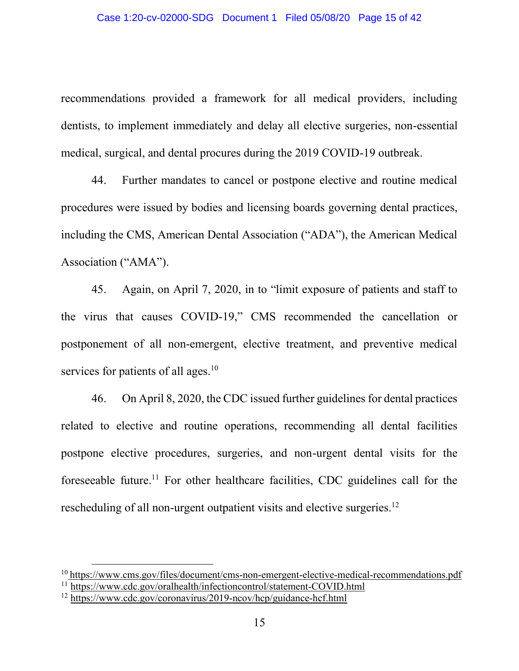recommendations provided a framework for all medical providers, including dentists, to implement immediately and delay all elective surgeries, non-essential medical, surgical, and dental procures during the 2019 COVID-19 outbreak.

44. Further mandates to cancel or postpone elective and routine medical procedures were issued by bodies and licensing boards governing dental practices, including the CMS, American Dental Association ("ADA"), the American Medical Association ("AMA").

45. Again, on April 7, 2020, in to "limit exposure of patients and staff to the virus that causes COVID-19," CMS recommended the cancellation or postponement of all non-emergent, elective treatment, and preventive medical services for patients of all ages.<sup>10</sup>

46. On April 8, 2020, the CDC issued further guidelines for dental practices related to elective and routine operations, recommending all dental facilities postpone elective procedures, surgeries, and non-urgent dental visits for the foreseeable future.11 For other healthcare facilities, CDC guidelines call for the rescheduling of all non-urgent outpatient visits and elective surgeries.<sup>12</sup>

l

<sup>&</sup>lt;sup>10</sup> <https://www.cms.gov/files/document/cms-non-emergent-elective-medical-recommendations.pdf> <sup>11</sup> <https://www.cdc.gov/oralhealth/infectioncontrol/statement-COVID.html>

<sup>12</sup> <https://www.cdc.gov/coronavirus/2019-ncov/hcp/guidance-hcf.html>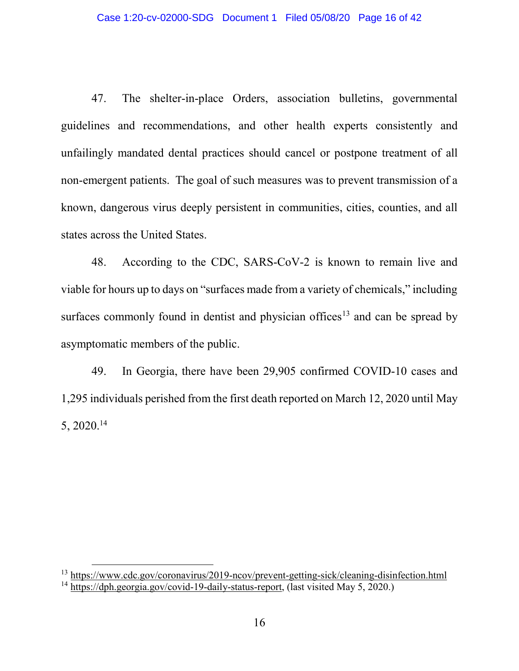47. The shelter-in-place Orders, association bulletins, governmental guidelines and recommendations, and other health experts consistently and unfailingly mandated dental practices should cancel or postpone treatment of all non-emergent patients. The goal of such measures was to prevent transmission of a known, dangerous virus deeply persistent in communities, cities, counties, and all states across the United States.

48. According to the CDC, SARS-CoV-2 is known to remain live and viable for hours up to days on "surfaces made from a variety of chemicals," including surfaces commonly found in dentist and physician offices<sup>13</sup> and can be spread by asymptomatic members of the public.

49. In Georgia, there have been 29,905 confirmed COVID-10 cases and 1,295 individuals perished from the first death reported on March 12, 2020 until May 5, 2020.14

l

<sup>&</sup>lt;sup>13</sup> <https://www.cdc.gov/coronavirus/2019-ncov/prevent-getting-sick/cleaning-disinfection.html> <sup>14</sup> [https://dph.georgia.gov/covid-19-daily-status-report,](https://dph.georgia.gov/covid-19-daily-status-report) (last visited May 5, 2020.)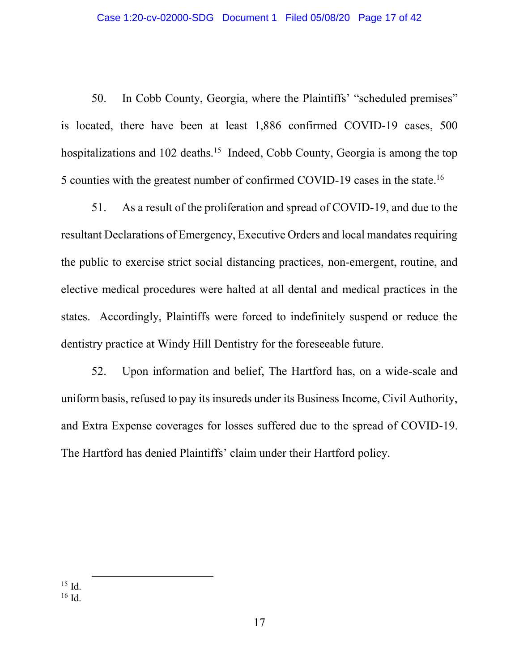50. In Cobb County, Georgia, where the Plaintiffs' "scheduled premises" is located, there have been at least 1,886 confirmed COVID-19 cases, 500 hospitalizations and 102 deaths.<sup>15</sup> Indeed, Cobb County, Georgia is among the top 5 counties with the greatest number of confirmed COVID-19 cases in the state.<sup>16</sup>

51. As a result of the proliferation and spread of COVID-19, and due to the resultant Declarations of Emergency, Executive Orders and local mandates requiring the public to exercise strict social distancing practices, non-emergent, routine, and elective medical procedures were halted at all dental and medical practices in the states. Accordingly, Plaintiffs were forced to indefinitely suspend or reduce the dentistry practice at Windy Hill Dentistry for the foreseeable future.

52. Upon information and belief, The Hartford has, on a wide-scale and uniform basis, refused to pay its insureds under its Business Income, Civil Authority, and Extra Expense coverages for losses suffered due to the spread of COVID-19. The Hartford has denied Plaintiffs' claim under their Hartford policy.

 $15$  Id. <sup>16</sup> Id.  $\overline{a}$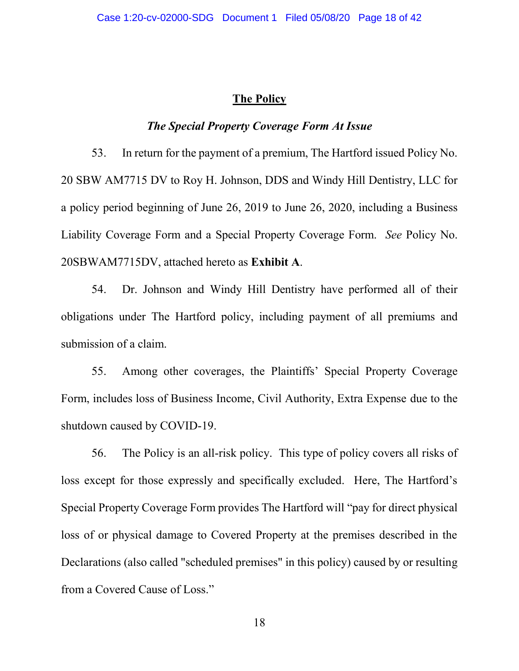#### **The Policy**

#### *The Special Property Coverage Form At Issue*

53. In return for the payment of a premium, The Hartford issued Policy No. 20 SBW AM7715 DV to Roy H. Johnson, DDS and Windy Hill Dentistry, LLC for a policy period beginning of June 26, 2019 to June 26, 2020, including a Business Liability Coverage Form and a Special Property Coverage Form. *See* Policy No. 20SBWAM7715DV, attached hereto as **Exhibit A**.

54. Dr. Johnson and Windy Hill Dentistry have performed all of their obligations under The Hartford policy, including payment of all premiums and submission of a claim.

55. Among other coverages, the Plaintiffs' Special Property Coverage Form, includes loss of Business Income, Civil Authority, Extra Expense due to the shutdown caused by COVID-19.

56. The Policy is an all-risk policy. This type of policy covers all risks of loss except for those expressly and specifically excluded. Here, The Hartford's Special Property Coverage Form provides The Hartford will "pay for direct physical loss of or physical damage to Covered Property at the premises described in the Declarations (also called "scheduled premises" in this policy) caused by or resulting from a Covered Cause of Loss."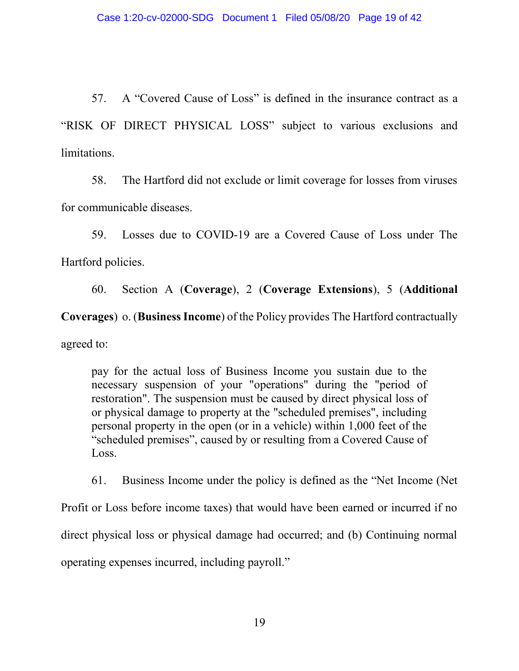57. A "Covered Cause of Loss" is defined in the insurance contract as a "RISK OF DIRECT PHYSICAL LOSS" subject to various exclusions and limitations.

58. The Hartford did not exclude or limit coverage for losses from viruses for communicable diseases.

59. Losses due to COVID-19 are a Covered Cause of Loss under The Hartford policies.

60. Section A (**Coverage**), 2 (**Coverage Extensions**), 5 (**Additional Coverages**) o. (**Business Income**) of the Policy provides The Hartford contractually agreed to:

pay for the actual loss of Business Income you sustain due to the necessary suspension of your "operations" during the "period of restoration". The suspension must be caused by direct physical loss of or physical damage to property at the "scheduled premises", including personal property in the open (or in a vehicle) within 1,000 feet of the "scheduled premises", caused by or resulting from a Covered Cause of Loss.

61. Business Income under the policy is defined as the "Net Income (Net Profit or Loss before income taxes) that would have been earned or incurred if no direct physical loss or physical damage had occurred; and (b) Continuing normal operating expenses incurred, including payroll."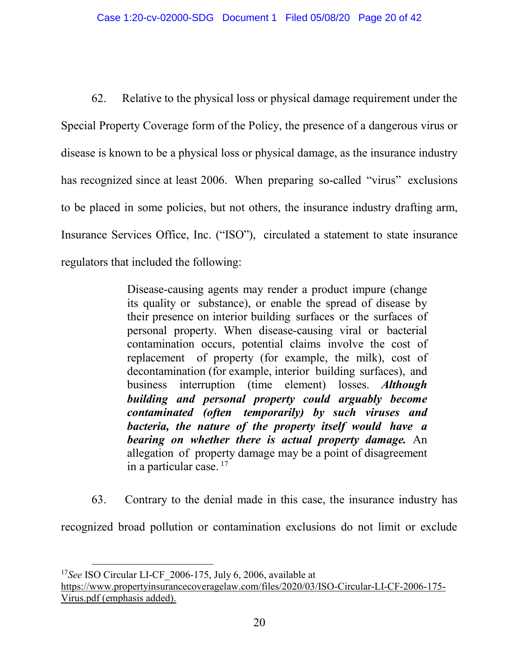62. Relative to the physical loss or physical damage requirement under the Special Property Coverage form of the Policy, the presence of a dangerous virus or disease is known to be a physical loss or physical damage, as the insurance industry has recognized since at least 2006. When preparing so-called "virus" exclusions to be placed in some policies, but not others, the insurance industry drafting arm, Insurance Services Office, Inc. ("ISO"), circulated a statement to state insurance regulators that included the following:

> Disease-causing agents may render a product impure (change its quality or substance), or enable the spread of disease by their presence on interior building surfaces or the surfaces of personal property. When disease-causing viral or bacterial contamination occurs, potential claims involve the cost of replacement of property (for example, the milk), cost of decontamination (for example, interior building surfaces), and business interruption (time element) losses. *Although building and personal property could arguably become contaminated (often temporarily) by such viruses and bacteria, the nature of the property itself would have a bearing on whether there is actual property damage.* An allegation of property damage may be a point of disagreement in a particular case. <sup>17</sup>

63. Contrary to the denial made in this case, the insurance industry has

recognized broad pollution or contamination exclusions do not limit or exclude

l

<sup>&</sup>lt;sup>17</sup>See ISO Circular LI-CF 2006-175, July 6, 2006, available at

[https://www.propertyinsurancecoveragelaw.com/files/2020/03/ISO-Circular-LI-CF-2006-175-](https://www.propertyinsurancecoveragelaw.com/files/2020/03/ISO-Circular-LI-CF-2006-175-Virus.pdf) [Virus.pdf](https://www.propertyinsurancecoveragelaw.com/files/2020/03/ISO-Circular-LI-CF-2006-175-Virus.pdf) (emphasis added).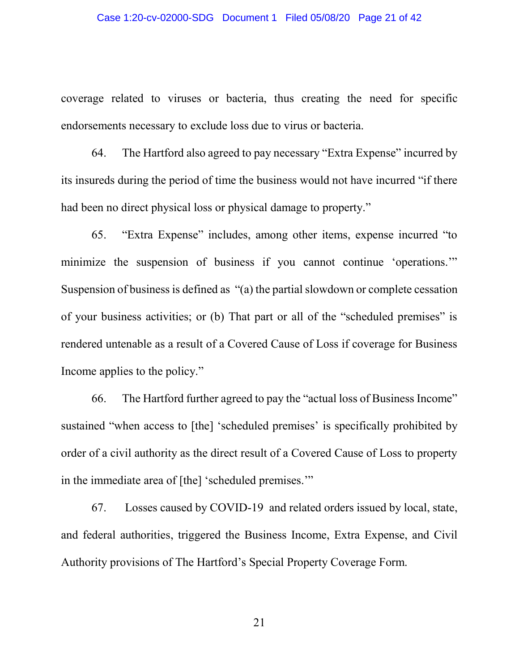#### Case 1:20-cv-02000-SDG Document 1 Filed 05/08/20 Page 21 of 42

coverage related to viruses or bacteria, thus creating the need for specific endorsements necessary to exclude loss due to virus or bacteria.

64. The Hartford also agreed to pay necessary "Extra Expense" incurred by its insureds during the period of time the business would not have incurred "if there had been no direct physical loss or physical damage to property."

65. "Extra Expense" includes, among other items, expense incurred "to minimize the suspension of business if you cannot continue 'operations.'" Suspension of business is defined as "(a) the partial slowdown or complete cessation of your business activities; or (b) That part or all of the "scheduled premises" is rendered untenable as a result of a Covered Cause of Loss if coverage for Business Income applies to the policy."

66. The Hartford further agreed to pay the "actual loss of Business Income" sustained "when access to [the] 'scheduled premises' is specifically prohibited by order of a civil authority as the direct result of a Covered Cause of Loss to property in the immediate area of [the] 'scheduled premises.'"

67. Losses caused by COVID-19 and related orders issued by local, state, and federal authorities, triggered the Business Income, Extra Expense, and Civil Authority provisions of The Hartford's Special Property Coverage Form.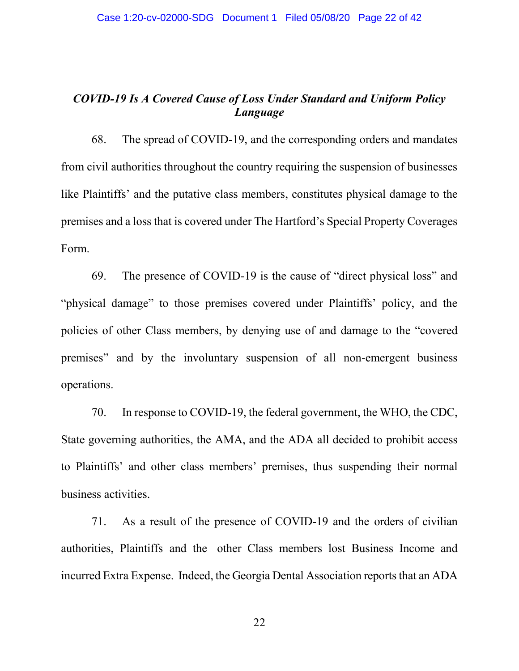# *COVID-19 Is A Covered Cause of Loss Under Standard and Uniform Policy Language*

68. The spread of COVID-19, and the corresponding orders and mandates from civil authorities throughout the country requiring the suspension of businesses like Plaintiffs' and the putative class members, constitutes physical damage to the premises and a loss that is covered under The Hartford's Special Property Coverages Form.

69. The presence of COVID-19 is the cause of "direct physical loss" and "physical damage" to those premises covered under Plaintiffs' policy, and the policies of other Class members, by denying use of and damage to the "covered premises" and by the involuntary suspension of all non-emergent business operations.

70. In response to COVID-19, the federal government, the WHO, the CDC, State governing authorities, the AMA, and the ADA all decided to prohibit access to Plaintiffs' and other class members' premises, thus suspending their normal business activities.

71. As a result of the presence of COVID-19 and the orders of civilian authorities, Plaintiffs and the other Class members lost Business Income and incurred Extra Expense. Indeed, the Georgia Dental Association reports that an ADA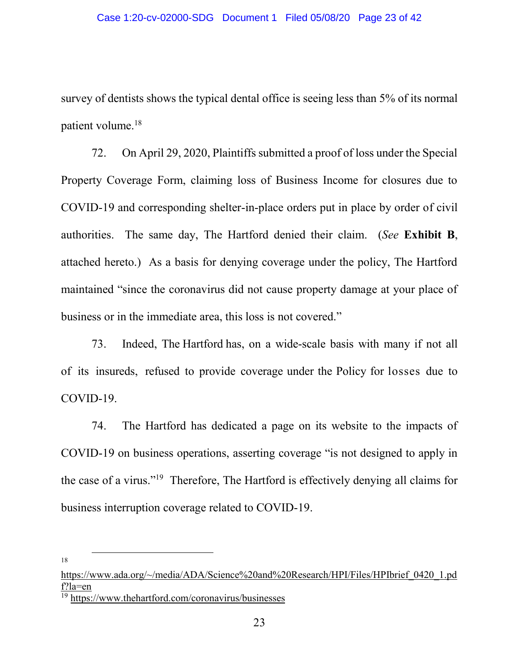survey of dentists shows the typical dental office is seeing less than 5% of its normal patient volume.<sup>18</sup>

72. On April 29, 2020, Plaintiffs submitted a proof of loss under the Special Property Coverage Form, claiming loss of Business Income for closures due to COVID-19 and corresponding shelter-in-place orders put in place by order of civil authorities. The same day, The Hartford denied their claim. (*See* **Exhibit B**, attached hereto.) As a basis for denying coverage under the policy, The Hartford maintained "since the coronavirus did not cause property damage at your place of business or in the immediate area, this loss is not covered."

73. Indeed, The Hartford has, on a wide-scale basis with many if not all of its insureds, refused to provide coverage under the Policy for losses due to COVID-19.

74. The Hartford has dedicated a page on its website to the impacts of COVID-19 on business operations, asserting coverage "is not designed to apply in the case of a virus."19 Therefore, The Hartford is effectively denying all claims for business interruption coverage related to COVID-19.

18

 $\overline{\phantom{a}}$ 

[https://www.ada.org/~/media/ADA/Science%20and%20Research/HPI/Files/HPIbrief\\_0420\\_1.pd](https://www.ada.org/~/media/ADA/Science%20and%20Research/HPI/Files/HPIbrief_0420_1.pdf?la=en) [f?la=en](https://www.ada.org/~/media/ADA/Science%20and%20Research/HPI/Files/HPIbrief_0420_1.pdf?la=en)

<sup>19</sup> <https://www.thehartford.com/coronavirus/businesses>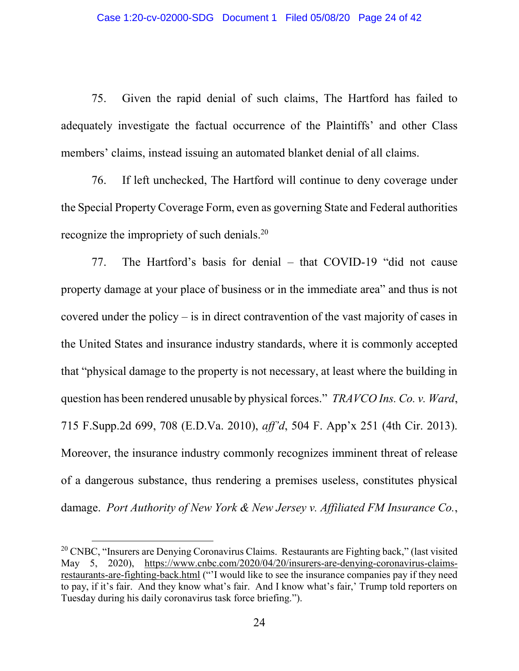75. Given the rapid denial of such claims, The Hartford has failed to adequately investigate the factual occurrence of the Plaintiffs' and other Class members' claims, instead issuing an automated blanket denial of all claims.

76. If left unchecked, The Hartford will continue to deny coverage under the Special Property Coverage Form, even as governing State and Federal authorities recognize the impropriety of such denials.<sup>20</sup>

77. The Hartford's basis for denial – that COVID-19 "did not cause property damage at your place of business or in the immediate area" and thus is not covered under the policy – is in direct contravention of the vast majority of cases in the United States and insurance industry standards, where it is commonly accepted that "physical damage to the property is not necessary, at least where the building in question has been rendered unusable by physical forces." *TRAVCO Ins. Co. v. Ward*, 715 F.Supp.2d 699, 708 (E.D.Va. 2010), *aff'd*, 504 F. App'x 251 (4th Cir. 2013). Moreover, the insurance industry commonly recognizes imminent threat of release of a dangerous substance, thus rendering a premises useless, constitutes physical damage. *Port Authority of New York & New Jersey v. Affiliated FM Insurance Co.*,

 $\overline{\phantom{a}}$ 

<sup>&</sup>lt;sup>20</sup> CNBC, "Insurers are Denying Coronavirus Claims. Restaurants are Fighting back," (last visited May 5, 2020), [https://www.cnbc.com/2020/04/20/insurers-are-denying-coronavirus-claims](https://www.cnbc.com/2020/04/20/insurers-are-denying-coronavirus-claims-restaurants-are-fighting-back.html)[restaurants-are-fighting-back.html](https://www.cnbc.com/2020/04/20/insurers-are-denying-coronavirus-claims-restaurants-are-fighting-back.html) ("'I would like to see the insurance companies pay if they need to pay, if it's fair. And they know what's fair. And I know what's fair,' Trump told reporters on Tuesday during his daily coronavirus task force briefing.").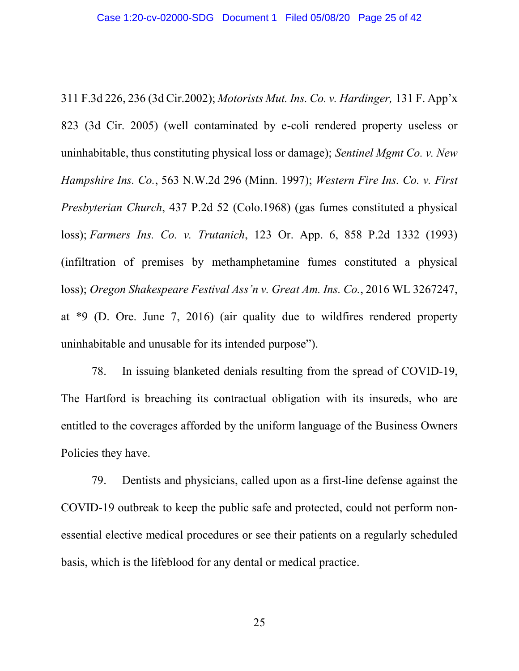311 F.3d 226, 236 (3d Cir.2002); *Motorists Mut. Ins. Co. v. Hardinger,* 131 F. App'x 823 (3d Cir. 2005) (well contaminated by e-coli rendered property useless or uninhabitable, thus constituting physical loss or damage); *Sentinel Mgmt Co. v. New Hampshire Ins. Co.*, 563 N.W.2d 296 (Minn. 1997); *Western Fire Ins. Co. v. First Presbyterian Church*, 437 P.2d 52 (Colo.1968) (gas fumes constituted a physical loss); *Farmers Ins. Co. v. Trutanich*, 123 Or. App. 6, 858 P.2d 1332 (1993) (infiltration of premises by methamphetamine fumes constituted a physical loss); *Oregon Shakespeare Festival Ass'n v. Great Am. Ins. Co.*, 2016 WL 3267247, at \*9 (D. Ore. June 7, 2016) (air quality due to wildfires rendered property uninhabitable and unusable for its intended purpose").

78. In issuing blanketed denials resulting from the spread of COVID-19, The Hartford is breaching its contractual obligation with its insureds, who are entitled to the coverages afforded by the uniform language of the Business Owners Policies they have.

79. Dentists and physicians, called upon as a first-line defense against the COVID-19 outbreak to keep the public safe and protected, could not perform nonessential elective medical procedures or see their patients on a regularly scheduled basis, which is the lifeblood for any dental or medical practice.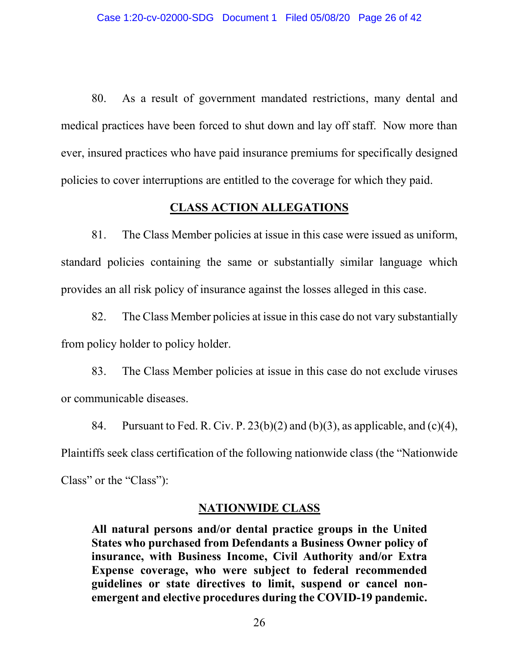80. As a result of government mandated restrictions, many dental and medical practices have been forced to shut down and lay off staff. Now more than ever, insured practices who have paid insurance premiums for specifically designed policies to cover interruptions are entitled to the coverage for which they paid.

## **CLASS ACTION ALLEGATIONS**

81. The Class Member policies at issue in this case were issued as uniform, standard policies containing the same or substantially similar language which provides an all risk policy of insurance against the losses alleged in this case.

82. The Class Member policies at issue in this case do not vary substantially from policy holder to policy holder.

83. The Class Member policies at issue in this case do not exclude viruses or communicable diseases.

84. Pursuant to Fed. R. Civ. P.  $23(b)(2)$  and  $(b)(3)$ , as applicable, and  $(c)(4)$ , Plaintiffs seek class certification of the following nationwide class (the "Nationwide Class" or the "Class"):

## **NATIONWIDE CLASS**

**All natural persons and/or dental practice groups in the United States who purchased from Defendants a Business Owner policy of insurance, with Business Income, Civil Authority and/or Extra Expense coverage, who were subject to federal recommended guidelines or state directives to limit, suspend or cancel nonemergent and elective procedures during the COVID-19 pandemic.**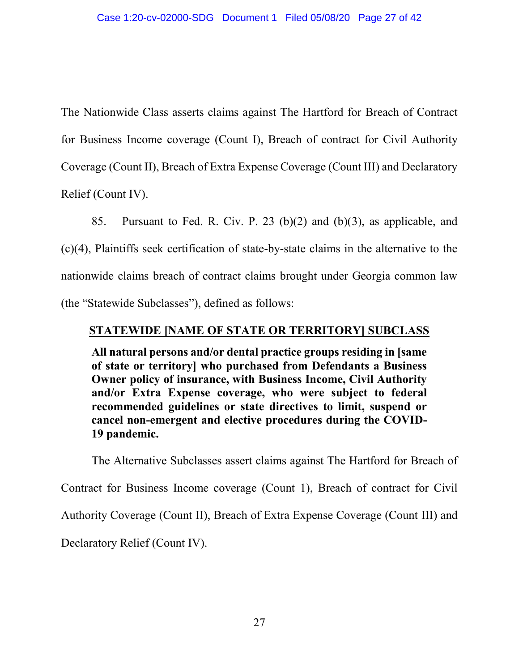The Nationwide Class asserts claims against The Hartford for Breach of Contract for Business Income coverage (Count I), Breach of contract for Civil Authority Coverage (Count II), Breach of Extra Expense Coverage (Count III) and Declaratory Relief (Count IV).

85. Pursuant to Fed. R. Civ. P. 23 (b)(2) and (b)(3), as applicable, and (c)(4), Plaintiffs seek certification of state-by-state claims in the alternative to the nationwide claims breach of contract claims brought under Georgia common law (the "Statewide Subclasses"), defined as follows:

## **STATEWIDE [NAME OF STATE OR TERRITORY] SUBCLASS**

**All natural persons and/or dental practice groups residing in [same of state or territory] who purchased from Defendants a Business Owner policy of insurance, with Business Income, Civil Authority and/or Extra Expense coverage, who were subject to federal recommended guidelines or state directives to limit, suspend or cancel non-emergent and elective procedures during the COVID-19 pandemic.**

The Alternative Subclasses assert claims against The Hartford for Breach of Contract for Business Income coverage (Count 1), Breach of contract for Civil Authority Coverage (Count II), Breach of Extra Expense Coverage (Count III) and Declaratory Relief (Count IV).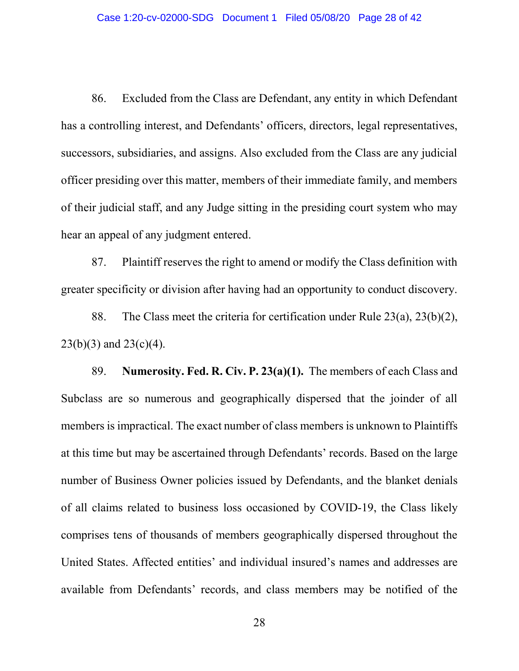86. Excluded from the Class are Defendant, any entity in which Defendant has a controlling interest, and Defendants' officers, directors, legal representatives, successors, subsidiaries, and assigns. Also excluded from the Class are any judicial officer presiding over this matter, members of their immediate family, and members of their judicial staff, and any Judge sitting in the presiding court system who may hear an appeal of any judgment entered.

87. Plaintiff reserves the right to amend or modify the Class definition with greater specificity or division after having had an opportunity to conduct discovery.

88. The Class meet the criteria for certification under Rule  $23(a)$ ,  $23(b)(2)$ ,  $23(b)(3)$  and  $23(c)(4)$ .

89. **Numerosity. Fed. R. Civ. P. 23(a)(1).** The members of each Class and Subclass are so numerous and geographically dispersed that the joinder of all members is impractical. The exact number of class members is unknown to Plaintiffs at this time but may be ascertained through Defendants' records. Based on the large number of Business Owner policies issued by Defendants, and the blanket denials of all claims related to business loss occasioned by COVID-19, the Class likely comprises tens of thousands of members geographically dispersed throughout the United States. Affected entities' and individual insured's names and addresses are available from Defendants' records, and class members may be notified of the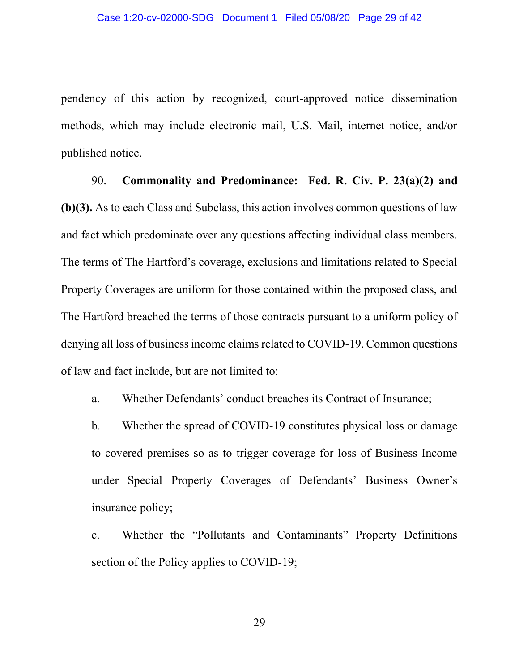pendency of this action by recognized, court-approved notice dissemination methods, which may include electronic mail, U.S. Mail, internet notice, and/or published notice.

90. **Commonality and Predominance: Fed. R. Civ. P. 23(a)(2) and (b)(3).** As to each Class and Subclass, this action involves common questions of law and fact which predominate over any questions affecting individual class members. The terms of The Hartford's coverage, exclusions and limitations related to Special Property Coverages are uniform for those contained within the proposed class, and The Hartford breached the terms of those contracts pursuant to a uniform policy of denying all loss of business income claims related to COVID-19. Common questions of law and fact include, but are not limited to:

a. Whether Defendants' conduct breaches its Contract of Insurance;

b. Whether the spread of COVID-19 constitutes physical loss or damage to covered premises so as to trigger coverage for loss of Business Income under Special Property Coverages of Defendants' Business Owner's insurance policy;

c. Whether the "Pollutants and Contaminants" Property Definitions section of the Policy applies to COVID-19;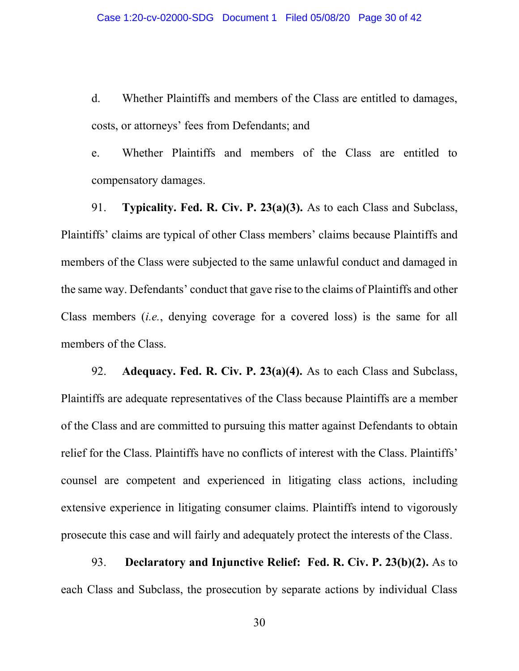d. Whether Plaintiffs and members of the Class are entitled to damages, costs, or attorneys' fees from Defendants; and

e. Whether Plaintiffs and members of the Class are entitled to compensatory damages.

91. **Typicality. Fed. R. Civ. P. 23(a)(3).** As to each Class and Subclass, Plaintiffs' claims are typical of other Class members' claims because Plaintiffs and members of the Class were subjected to the same unlawful conduct and damaged in the same way. Defendants' conduct that gave rise to the claims of Plaintiffs and other Class members (*i.e.*, denying coverage for a covered loss) is the same for all members of the Class.

92. **Adequacy. Fed. R. Civ. P. 23(a)(4).** As to each Class and Subclass, Plaintiffs are adequate representatives of the Class because Plaintiffs are a member of the Class and are committed to pursuing this matter against Defendants to obtain relief for the Class. Plaintiffs have no conflicts of interest with the Class. Plaintiffs' counsel are competent and experienced in litigating class actions, including extensive experience in litigating consumer claims. Plaintiffs intend to vigorously prosecute this case and will fairly and adequately protect the interests of the Class.

93. **Declaratory and Injunctive Relief: Fed. R. Civ. P. 23(b)(2).** As to each Class and Subclass, the prosecution by separate actions by individual Class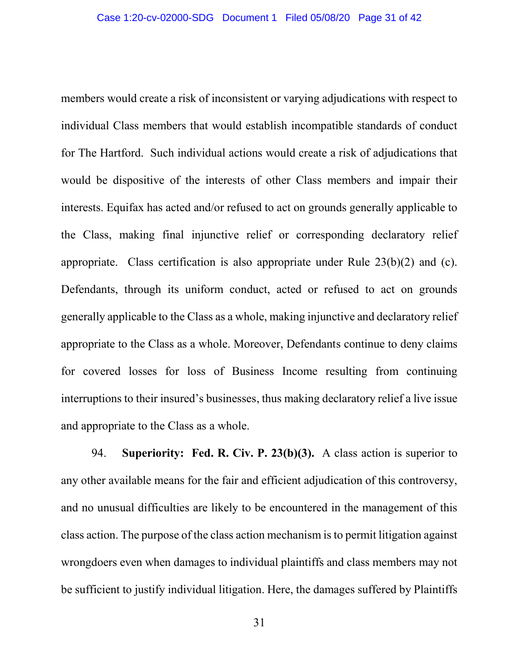members would create a risk of inconsistent or varying adjudications with respect to individual Class members that would establish incompatible standards of conduct for The Hartford. Such individual actions would create a risk of adjudications that would be dispositive of the interests of other Class members and impair their interests. Equifax has acted and/or refused to act on grounds generally applicable to the Class, making final injunctive relief or corresponding declaratory relief appropriate. Class certification is also appropriate under Rule 23(b)(2) and (c). Defendants, through its uniform conduct, acted or refused to act on grounds generally applicable to the Class as a whole, making injunctive and declaratory relief appropriate to the Class as a whole. Moreover, Defendants continue to deny claims for covered losses for loss of Business Income resulting from continuing interruptions to their insured's businesses, thus making declaratory relief a live issue and appropriate to the Class as a whole.

94. **Superiority: Fed. R. Civ. P. 23(b)(3).** A class action is superior to any other available means for the fair and efficient adjudication of this controversy, and no unusual difficulties are likely to be encountered in the management of this class action. The purpose of the class action mechanism is to permit litigation against wrongdoers even when damages to individual plaintiffs and class members may not be sufficient to justify individual litigation. Here, the damages suffered by Plaintiffs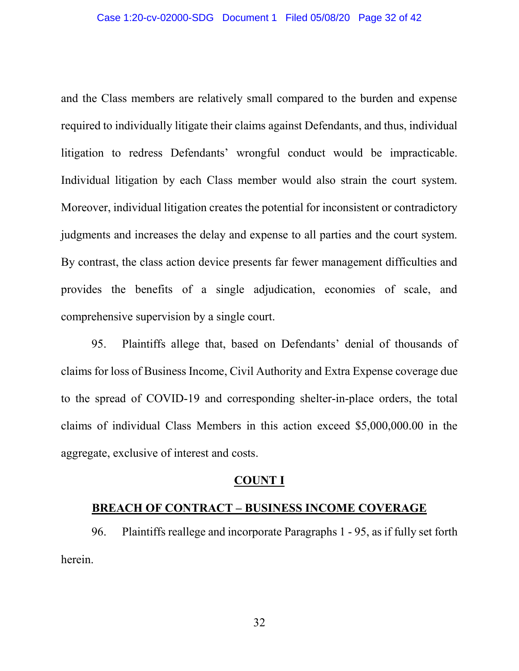and the Class members are relatively small compared to the burden and expense required to individually litigate their claims against Defendants, and thus, individual litigation to redress Defendants' wrongful conduct would be impracticable. Individual litigation by each Class member would also strain the court system. Moreover, individual litigation creates the potential for inconsistent or contradictory judgments and increases the delay and expense to all parties and the court system. By contrast, the class action device presents far fewer management difficulties and provides the benefits of a single adjudication, economies of scale, and comprehensive supervision by a single court.

95. Plaintiffs allege that, based on Defendants' denial of thousands of claims for loss of Business Income, Civil Authority and Extra Expense coverage due to the spread of COVID-19 and corresponding shelter-in-place orders, the total claims of individual Class Members in this action exceed \$5,000,000.00 in the aggregate, exclusive of interest and costs.

#### **COUNT I**

## **BREACH OF CONTRACT – BUSINESS INCOME COVERAGE**

96. Plaintiffs reallege and incorporate Paragraphs 1 - 95, as if fully set forth herein.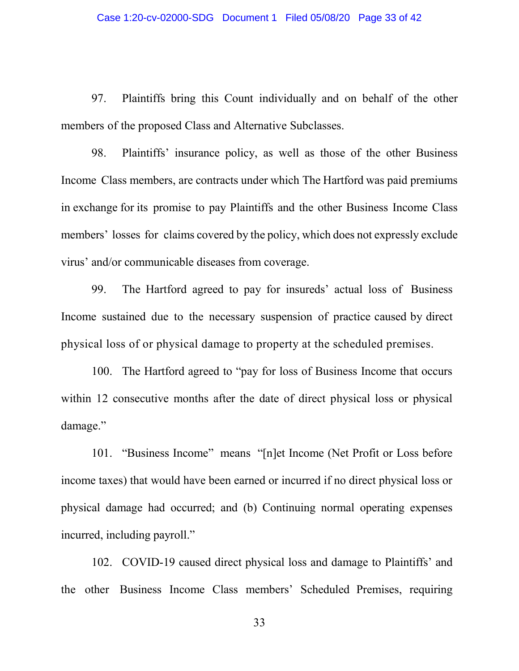97. Plaintiffs bring this Count individually and on behalf of the other members of the proposed Class and Alternative Subclasses.

98. Plaintiffs' insurance policy, as well as those of the other Business Income Class members, are contracts under which The Hartford was paid premiums in exchange for its promise to pay Plaintiffs and the other Business Income Class members' losses for claims covered by the policy, which does not expressly exclude virus' and/or communicable diseases from coverage.

99. The Hartford agreed to pay for insureds' actual loss of Business Income sustained due to the necessary suspension of practice caused by direct physical loss of or physical damage to property at the scheduled premises.

100. The Hartford agreed to "pay for loss of Business Income that occurs within 12 consecutive months after the date of direct physical loss or physical damage."

101. "Business Income" means "[n]et Income (Net Profit or Loss before income taxes) that would have been earned or incurred if no direct physical loss or physical damage had occurred; and (b) Continuing normal operating expenses incurred, including payroll."

102. COVID-19 caused direct physical loss and damage to Plaintiffs' and the other Business Income Class members' Scheduled Premises, requiring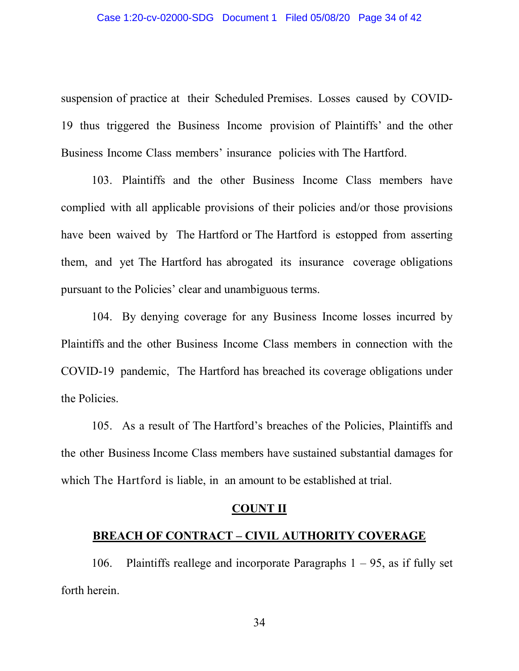suspension of practice at their Scheduled Premises. Losses caused by COVID-19 thus triggered the Business Income provision of Plaintiffs' and the other Business Income Class members' insurance policies with The Hartford.

103. Plaintiffs and the other Business Income Class members have complied with all applicable provisions of their policies and/or those provisions have been waived by The Hartford or The Hartford is estopped from asserting them, and yet The Hartford has abrogated its insurance coverage obligations pursuant to the Policies' clear and unambiguous terms.

104. By denying coverage for any Business Income losses incurred by Plaintiffs and the other Business Income Class members in connection with the COVID-19 pandemic, The Hartford has breached its coverage obligations under the Policies.

105. As a result of The Hartford's breaches of the Policies, Plaintiffs and the other Business Income Class members have sustained substantial damages for which The Hartford is liable, in an amount to be established at trial.

#### **COUNT II**

#### **BREACH OF CONTRACT – CIVIL AUTHORITY COVERAGE**

106. Plaintiffs reallege and incorporate Paragraphs  $1 - 95$ , as if fully set forth herein.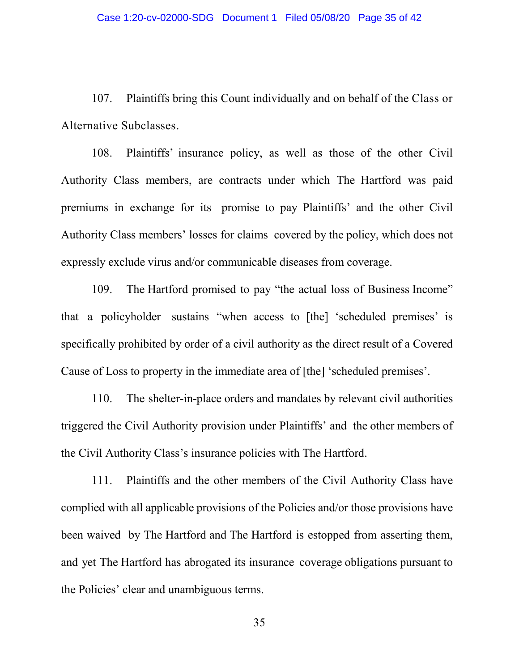107. Plaintiffs bring this Count individually and on behalf of the Class or Alternative Subclasses.

108. Plaintiffs' insurance policy, as well as those of the other Civil Authority Class members, are contracts under which The Hartford was paid premiums in exchange for its promise to pay Plaintiffs' and the other Civil Authority Class members' losses for claims covered by the policy, which does not expressly exclude virus and/or communicable diseases from coverage.

109. The Hartford promised to pay "the actual loss of Business Income" that a policyholder sustains "when access to [the] 'scheduled premises' is specifically prohibited by order of a civil authority as the direct result of a Covered Cause of Loss to property in the immediate area of [the] 'scheduled premises'.

110. The shelter-in-place orders and mandates by relevant civil authorities triggered the Civil Authority provision under Plaintiffs' and the other members of the Civil Authority Class's insurance policies with The Hartford.

111. Plaintiffs and the other members of the Civil Authority Class have complied with all applicable provisions of the Policies and/or those provisions have been waived by The Hartford and The Hartford is estopped from asserting them, and yet The Hartford has abrogated its insurance coverage obligations pursuant to the Policies' clear and unambiguous terms.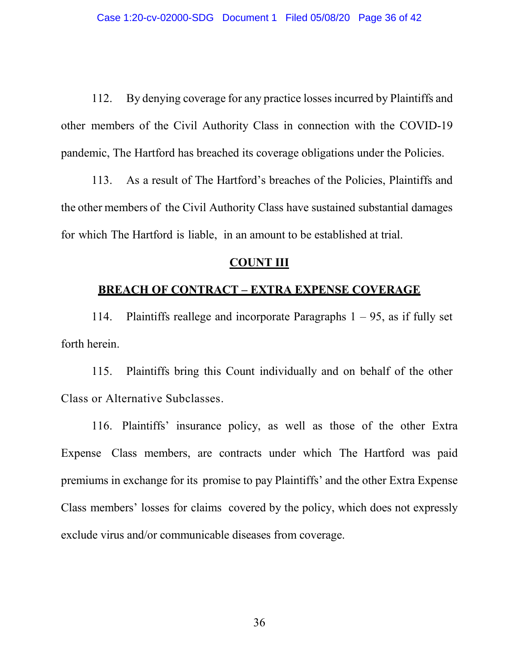112. By denying coverage for any practice losses incurred by Plaintiffs and other members of the Civil Authority Class in connection with the COVID-19 pandemic, The Hartford has breached its coverage obligations under the Policies.

113. As a result of The Hartford's breaches of the Policies, Plaintiffs and the other members of the Civil Authority Class have sustained substantial damages for which The Hartford is liable, in an amount to be established at trial.

## **COUNT III**

## **BREACH OF CONTRACT – EXTRA EXPENSE COVERAGE**

114. Plaintiffs reallege and incorporate Paragraphs  $1 - 95$ , as if fully set forth herein.

115. Plaintiffs bring this Count individually and on behalf of the other Class or Alternative Subclasses.

116. Plaintiffs' insurance policy, as well as those of the other Extra Expense Class members, are contracts under which The Hartford was paid premiums in exchange for its promise to pay Plaintiffs' and the other Extra Expense Class members' losses for claims covered by the policy, which does not expressly exclude virus and/or communicable diseases from coverage.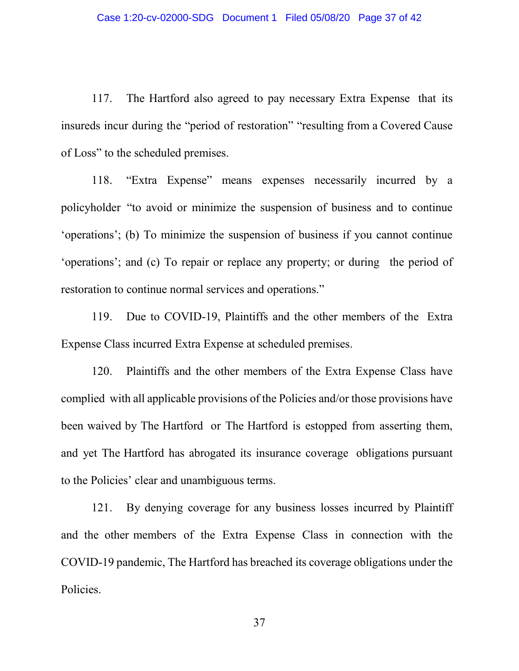117. The Hartford also agreed to pay necessary Extra Expense that its insureds incur during the "period of restoration" "resulting from a Covered Cause of Loss" to the scheduled premises.

118. "Extra Expense" means expenses necessarily incurred by a policyholder "to avoid or minimize the suspension of business and to continue 'operations'; (b) To minimize the suspension of business if you cannot continue 'operations'; and (c) To repair or replace any property; or during the period of restoration to continue normal services and operations."

119. Due to COVID-19, Plaintiffs and the other members of the Extra Expense Class incurred Extra Expense at scheduled premises.

120. Plaintiffs and the other members of the Extra Expense Class have complied with all applicable provisions of the Policies and/or those provisions have been waived by The Hartford or The Hartford is estopped from asserting them, and yet The Hartford has abrogated its insurance coverage obligations pursuant to the Policies' clear and unambiguous terms.

121. By denying coverage for any business losses incurred by Plaintiff and the other members of the Extra Expense Class in connection with the COVID-19 pandemic, The Hartford has breached its coverage obligations under the Policies.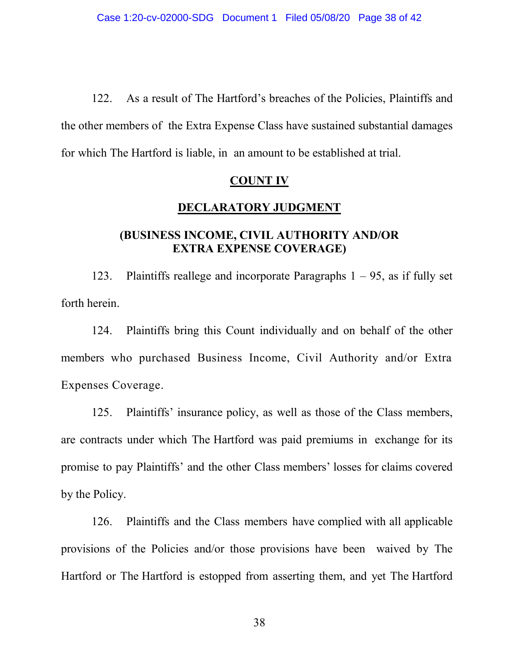122. As a result of The Hartford's breaches of the Policies, Plaintiffs and the other members of the Extra Expense Class have sustained substantial damages for which The Hartford is liable, in an amount to be established at trial.

## **COUNT IV**

## **DECLARATORY JUDGMENT**

# **(BUSINESS INCOME, CIVIL AUTHORITY AND/OR EXTRA EXPENSE COVERAGE)**

123. Plaintiffs reallege and incorporate Paragraphs  $1 - 95$ , as if fully set forth herein.

124. Plaintiffs bring this Count individually and on behalf of the other members who purchased Business Income, Civil Authority and/or Extra Expenses Coverage.

125. Plaintiffs' insurance policy, as well as those of the Class members, are contracts under which The Hartford was paid premiums in exchange for its promise to pay Plaintiffs' and the other Class members' losses for claims covered by the Policy.

126. Plaintiffs and the Class members have complied with all applicable provisions of the Policies and/or those provisions have been waived by The Hartford or The Hartford is estopped from asserting them, and yet The Hartford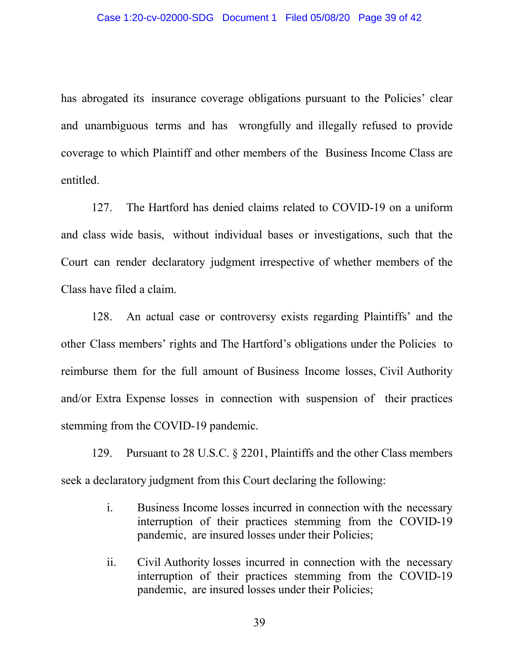has abrogated its insurance coverage obligations pursuant to the Policies' clear and unambiguous terms and has wrongfully and illegally refused to provide coverage to which Plaintiff and other members of the Business Income Class are entitled.

127. The Hartford has denied claims related to COVID-19 on a uniform and class wide basis, without individual bases or investigations, such that the Court can render declaratory judgment irrespective of whether members of the Class have filed a claim.

128. An actual case or controversy exists regarding Plaintiffs' and the other Class members' rights and The Hartford's obligations under the Policies to reimburse them for the full amount of Business Income losses, Civil Authority and/or Extra Expense losses in connection with suspension of their practices stemming from the COVID-19 pandemic.

129. Pursuant to 28 U.S.C. § 2201, Plaintiffs and the other Class members seek a declaratory judgment from this Court declaring the following:

- i. Business Income losses incurred in connection with the necessary interruption of their practices stemming from the COVID-19 pandemic, are insured losses under their Policies;
- ii. Civil Authority losses incurred in connection with the necessary interruption of their practices stemming from the COVID-19 pandemic, are insured losses under their Policies;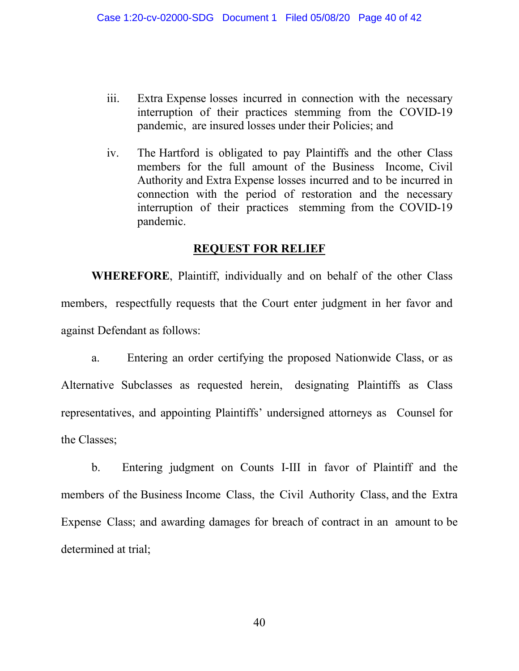- iii. Extra Expense losses incurred in connection with the necessary interruption of their practices stemming from the COVID-19 pandemic, are insured losses under their Policies; and
- iv. The Hartford is obligated to pay Plaintiffs and the other Class members for the full amount of the Business Income, Civil Authority and Extra Expense losses incurred and to be incurred in connection with the period of restoration and the necessary interruption of their practices stemming from the COVID-19 pandemic.

## **REQUEST FOR RELIEF**

**WHEREFORE**, Plaintiff, individually and on behalf of the other Class members, respectfully requests that the Court enter judgment in her favor and against Defendant as follows:

a. Entering an order certifying the proposed Nationwide Class, or as Alternative Subclasses as requested herein, designating Plaintiffs as Class representatives, and appointing Plaintiffs' undersigned attorneys as Counsel for the Classes;

b. Entering judgment on Counts I-III in favor of Plaintiff and the members of the Business Income Class, the Civil Authority Class, and the Extra Expense Class; and awarding damages for breach of contract in an amount to be determined at trial;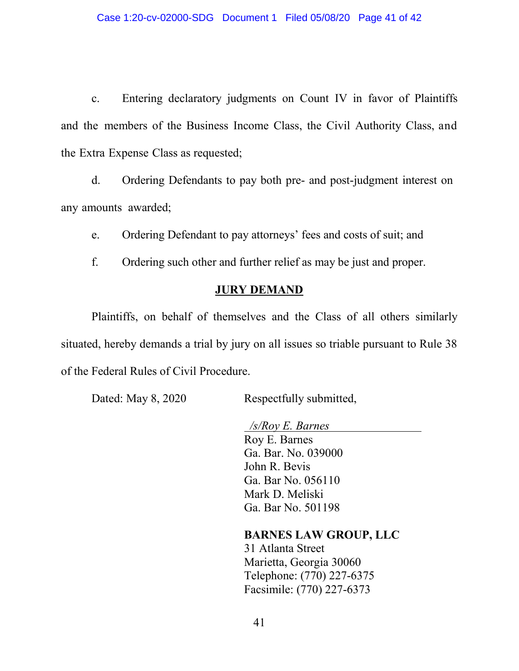c. Entering declaratory judgments on Count IV in favor of Plaintiffs and the members of the Business Income Class, the Civil Authority Class, and the Extra Expense Class as requested;

d. Ordering Defendants to pay both pre- and post-judgment interest on any amounts awarded;

e. Ordering Defendant to pay attorneys' fees and costs of suit; and

f. Ordering such other and further relief as may be just and proper.

## **JURY DEMAND**

Plaintiffs, on behalf of themselves and the Class of all others similarly situated, hereby demands a trial by jury on all issues so triable pursuant to Rule 38 of the Federal Rules of Civil Procedure.

Dated: May 8, 2020 Respectfully submitted,

 */s/Roy E. Barnes*  Roy E. Barnes Ga. Bar. No. 039000 John R. Bevis Ga. Bar No. 056110 Mark D. Meliski Ga. Bar No. 501198

**BARNES LAW GROUP, LLC**

31 Atlanta Street Marietta, Georgia 30060 Telephone: (770) 227-6375 Facsimile: (770) 227-6373